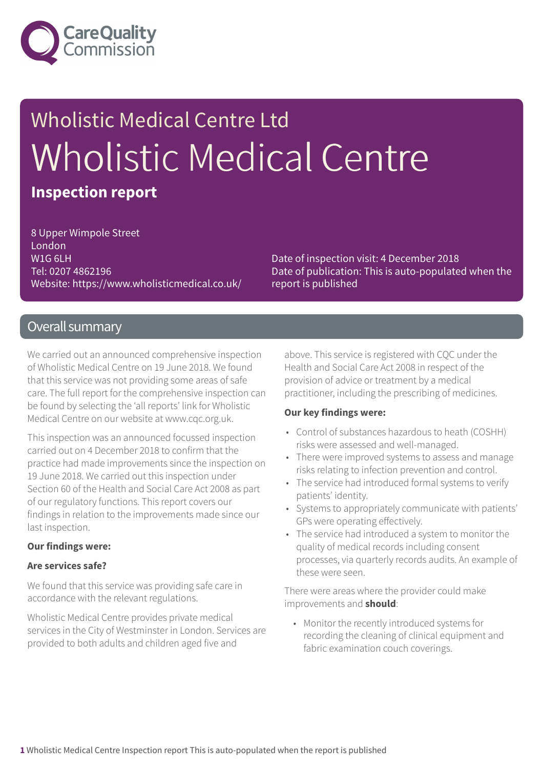

## Wholistic Medical Centre Ltd Wholistic Medical Centre **Inspection report**

8 Upper Wimpole Street London W1G 6LH Tel: 0207 4862196 Website: https://www.wholisticmedical.co.uk/

Date of inspection visit: 4 December 2018 Date of publication: This is auto-populated when the report is published

### Overall summary

We carried out an announced comprehensive inspection of Wholistic Medical Centre on 19 June 2018. We found that this service was not providing some areas of safe care. The full report for the comprehensive inspection can be found by selecting the 'all reports' link for Wholistic Medical Centre on our website at www.cqc.org.uk.

This inspection was an announced focussed inspection carried out on 4 December 2018 to confirm that the practice had made improvements since the inspection on 19 June 2018. We carried out this inspection under Section 60 of the Health and Social Care Act 2008 as part of our regulatory functions. This report covers our findings in relation to the improvements made since our last inspection.

#### **Our findings were:**

#### **Are services safe?**

We found that this service was providing safe care in accordance with the relevant regulations.

Wholistic Medical Centre provides private medical services in the City of Westminster in London. Services are provided to both adults and children aged five and

above. This service is registered with CQC under the Health and Social Care Act 2008 in respect of the provision of advice or treatment by a medical practitioner, including the prescribing of medicines.

#### **Our key findings were:**

- Control of substances hazardous to heath (COSHH) risks were assessed and well-managed.
- There were improved systems to assess and manage risks relating to infection prevention and control.
- The service had introduced formal systems to verify patients' identity.
- Systems to appropriately communicate with patients' GPs were operating effectively.
- The service had introduced a system to monitor the quality of medical records including consent processes, via quarterly records audits. An example of these were seen.

There were areas where the provider could make improvements and **should**:

• Monitor the recently introduced systems for recording the cleaning of clinical equipment and fabric examination couch coverings.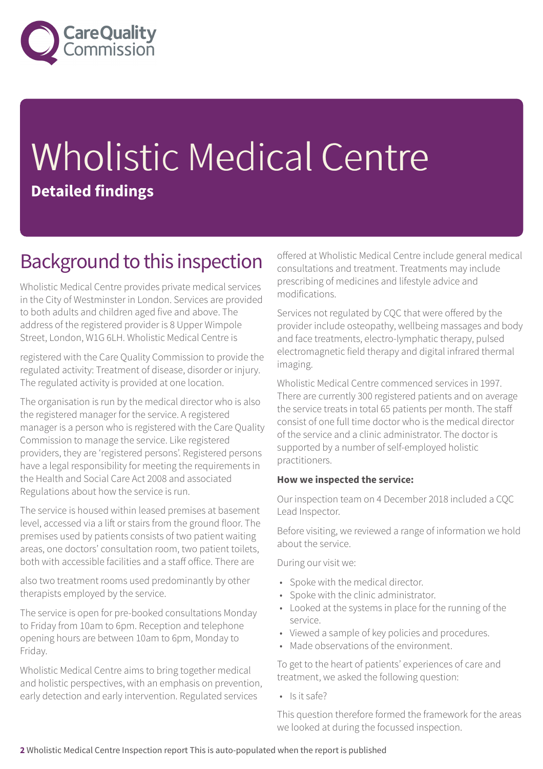

# Wholistic Medical Centre **Detailed findings**

### Background to this inspection

Wholistic Medical Centre provides private medical services in the City of Westminster in London. Services are provided to both adults and children aged five and above. The address of the registered provider is 8 Upper Wimpole Street, London, W1G 6LH. Wholistic Medical Centre is

registered with the Care Quality Commission to provide the regulated activity: Treatment of disease, disorder or injury. The regulated activity is provided at one location.

The organisation is run by the medical director who is also the registered manager for the service. A registered manager is a person who is registered with the Care Quality Commission to manage the service. Like registered providers, they are 'registered persons'. Registered persons have a legal responsibility for meeting the requirements in the Health and Social Care Act 2008 and associated Regulations about how the service is run.

The service is housed within leased premises at basement level, accessed via a lift or stairs from the ground floor. The premises used by patients consists of two patient waiting areas, one doctors' consultation room, two patient toilets, both with accessible facilities and a staff office. There are

also two treatment rooms used predominantly by other therapists employed by the service.

The service is open for pre-booked consultations Monday to Friday from 10am to 6pm. Reception and telephone opening hours are between 10am to 6pm, Monday to Friday.

Wholistic Medical Centre aims to bring together medical and holistic perspectives, with an emphasis on prevention, early detection and early intervention. Regulated services

offered at Wholistic Medical Centre include general medical consultations and treatment. Treatments may include prescribing of medicines and lifestyle advice and modifications.

Services not regulated by CQC that were offered by the provider include osteopathy, wellbeing massages and body and face treatments, electro-lymphatic therapy, pulsed electromagnetic field therapy and digital infrared thermal imaging.

Wholistic Medical Centre commenced services in 1997. There are currently 300 registered patients and on average the service treats in total 65 patients per month. The staff consist of one full time doctor who is the medical director of the service and a clinic administrator. The doctor is supported by a number of self-employed holistic practitioners.

### **How we inspected the service:**

Our inspection team on 4 December 2018 included a CQC Lead Inspector.

Before visiting, we reviewed a range of information we hold about the service.

During our visit we:

- Spoke with the medical director.
- Spoke with the clinic administrator.
- Looked at the systems in place for the running of the service.
- Viewed a sample of key policies and procedures.
- Made observations of the environment.

To get to the heart of patients' experiences of care and treatment, we asked the following question:

• Is it safe?

This question therefore formed the framework for the areas we looked at during the focussed inspection.